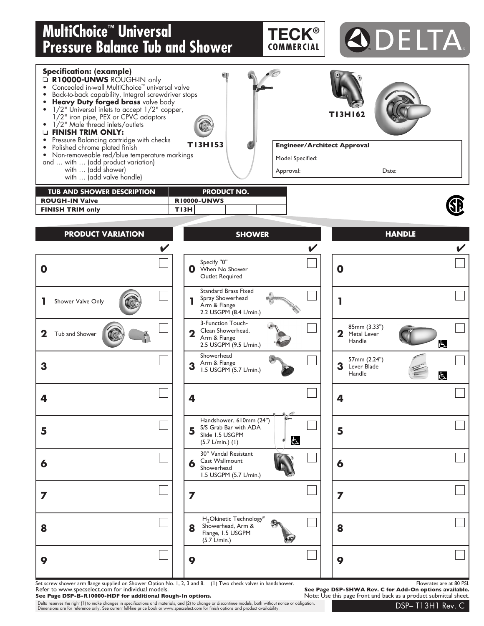

Set screw shower arm flange supplied on Shower Option No. 1, 2, 3 and 8. (1) Two check valves in handshower.<br>Refer to www.specselect.com for individual models. **See Page DSP-SHWA Rev. C for Add-On options available.** 

See Page DSP-B-R10000-HDF for additional Rough-In options.

Delm reserves the right (1) to make changes in specifications and materials, and (2) to change or discontinue modes, bom without notice or obligation.<br>Dimensions are for reference only. See current full-line price book or Delta reserves the right (1) to make changes in specifications and materials, and (2) to change or discontinue models, both without notice or obligation.

See Page DSP-SHWA Rev. C for Add-On options available.<br>Note: Use this page front and back as a product submittal sheet.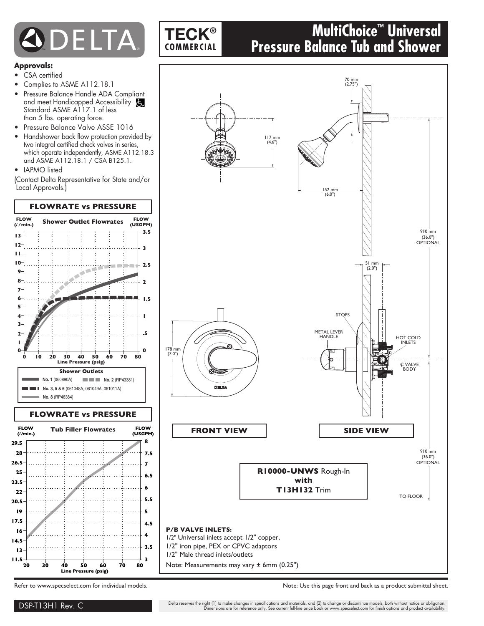

## **Approvals:**

- CSA certified
- Complies to ASME A112.18.1
- Pressure Balance Handle ADA Compliant and meet Handicapped Accessibility Standard ASME A117.1 of less than 5 lbs. operating force.
- Pressure Balance Valve ASSE 1016
- Handshower back flow protection provided by two integral certified check valves in series, which operate independently, ASME A112.18.3 and ASME A112.18.1 / CSA B125.1.

• IAPMO listed

(Contact Delta Representative for State and/or Local Approvals.)







**TECK® COMMERCIAL**

## **MultiChoice™ Universal Pressure Balance Tub and Shower**



Refer to www.specselect.com for individual models. Note: Use this page front and back as a product submittal sheet.

Delta reserves the right (1) to make changes in specifications and materials, and (2) to change or discontinue models, both without notice or obligation.<br>Dimensions are for reference only. See current full-line price book